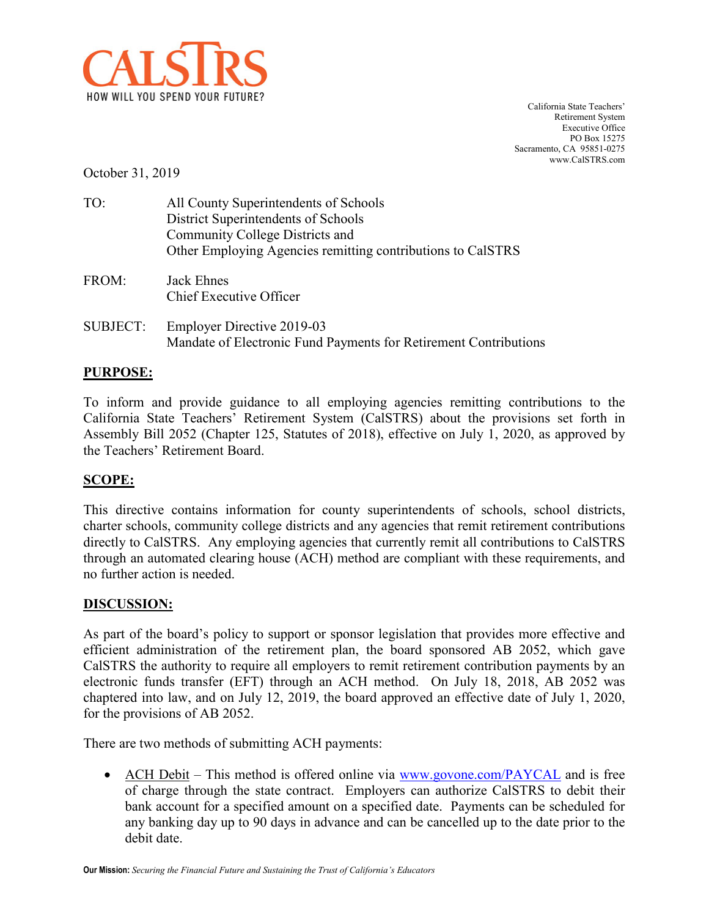

California State Teachers' Retirement System Executive Office PO Box 15275 Sacramento, CA 95851-0275 www.CalSTRS.com

October 31, 2019

| TO:             | All County Superintendents of Schools<br>District Superintendents of Schools<br>Community College Districts and<br>Other Employing Agencies remitting contributions to CalSTRS |
|-----------------|--------------------------------------------------------------------------------------------------------------------------------------------------------------------------------|
| FROM:           | <b>Jack Ehnes</b><br>Chief Executive Officer                                                                                                                                   |
| <b>SUBJECT:</b> | <b>Employer Directive 2019-03</b><br>Mandate of Electronic Fund Payments for Retirement Contributions                                                                          |

## **PURPOSE:**

To inform and provide guidance to all employing agencies remitting contributions to the California State Teachers' Retirement System (CalSTRS) about the provisions set forth in Assembly Bill 2052 (Chapter 125, Statutes of 2018), effective on July 1, 2020, as approved by the Teachers' Retirement Board.

## **SCOPE:**

This directive contains information for county superintendents of schools, school districts, charter schools, community college districts and any agencies that remit retirement contributions directly to CalSTRS. Any employing agencies that currently remit all contributions to CalSTRS through an automated clearing house (ACH) method are compliant with these requirements, and no further action is needed.

## **DISCUSSION:**

As part of the board's policy to support or sponsor legislation that provides more effective and efficient administration of the retirement plan, the board sponsored AB 2052, which gave CalSTRS the authority to require all employers to remit retirement contribution payments by an electronic funds transfer (EFT) through an ACH method. On July 18, 2018, AB 2052 was chaptered into law, and on July 12, 2019, the board approved an effective date of July 1, 2020, for the provisions of AB 2052.

There are two methods of submitting ACH payments:

• ACH Debit – This method is offered online via [www.govone.com/PAYCAL](http://www.govone.com/PAYCAL) and is free of charge through the state contract. Employers can authorize CalSTRS to debit their bank account for a specified amount on a specified date. Payments can be scheduled for any banking day up to 90 days in advance and can be cancelled up to the date prior to the debit date.